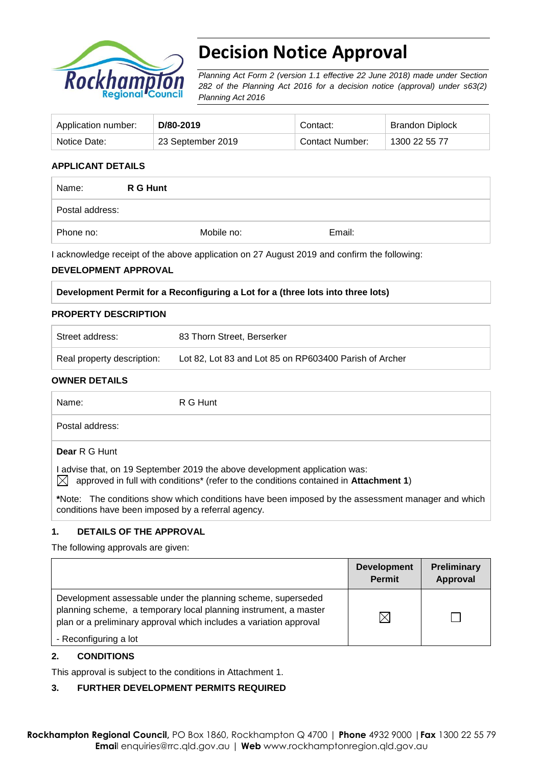

# **Decision Notice Approval**

*Planning Act Form 2 (version 1.1 effective 22 June 2018) made under Section 282 of the Planning Act 2016 for a decision notice (approval) under s63(2) Planning Act 2016*

| Application number: | D/80-2019         | Contact:        | <b>Brandon Diplock</b> |
|---------------------|-------------------|-----------------|------------------------|
| Notice Date:        | 23 September 2019 | Contact Number: | 1300 22 55 77          |

## **APPLICANT DETAILS**

| Name:           | R G Hunt |            |        |
|-----------------|----------|------------|--------|
| Postal address: |          |            |        |
| Phone no:       |          | Mobile no: | Email: |

I acknowledge receipt of the above application on 27 August 2019 and confirm the following:

### **DEVELOPMENT APPROVAL**

|  | Development Permit for a Reconfiguring a Lot for a (three lots into three lots) |
|--|---------------------------------------------------------------------------------|
|  |                                                                                 |

#### **PROPERTY DESCRIPTION**

| Street address:            | 83 Thorn Street, Berserker                             |
|----------------------------|--------------------------------------------------------|
| Real property description: | Lot 82, Lot 83 and Lot 85 on RP603400 Parish of Archer |

#### **OWNER DETAILS**

| Name:           | R G Hunt                                                                                                                                                                                  |
|-----------------|-------------------------------------------------------------------------------------------------------------------------------------------------------------------------------------------|
| Postal address: |                                                                                                                                                                                           |
| Dear R G Hunt   |                                                                                                                                                                                           |
|                 | I advise that, on 19 September 2019 the above development application was:<br>$\bowtie$ approved in full with conditions <sup>*</sup> (refer to the conditions contained in Attachment 1) |
|                 | *Note: The conditions show which conditions have been imposed by the assessment manager and which                                                                                         |

conditions have been imposed by a referral agency.

# **1. DETAILS OF THE APPROVAL**

The following approvals are given:

|                                                                                                                                                                                                        | <b>Development</b><br><b>Permit</b> | Preliminary<br>Approval |
|--------------------------------------------------------------------------------------------------------------------------------------------------------------------------------------------------------|-------------------------------------|-------------------------|
| Development assessable under the planning scheme, superseded<br>planning scheme, a temporary local planning instrument, a master<br>plan or a preliminary approval which includes a variation approval |                                     |                         |
| - Reconfiguring a lot                                                                                                                                                                                  |                                     |                         |

### **2. CONDITIONS**

This approval is subject to the conditions in Attachment 1.

# **3. FURTHER DEVELOPMENT PERMITS REQUIRED**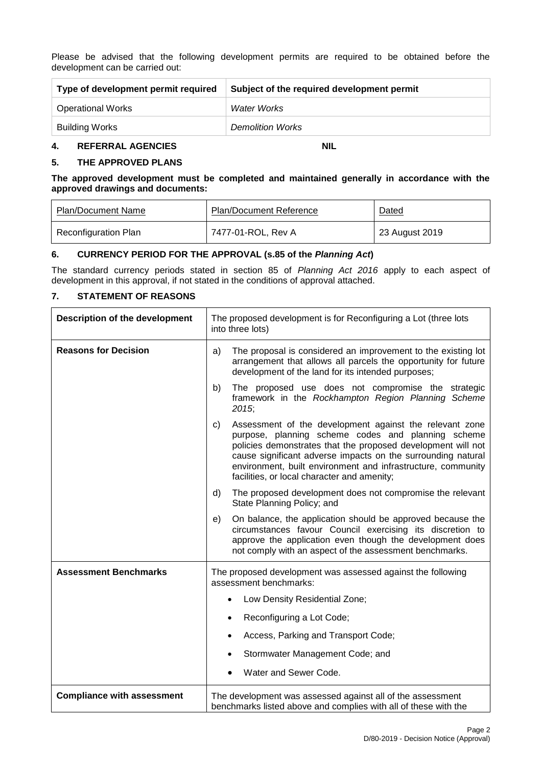Please be advised that the following development permits are required to be obtained before the development can be carried out:

| Type of development permit required | Subject of the required development permit |  |
|-------------------------------------|--------------------------------------------|--|
| <b>Operational Works</b>            | Water Works                                |  |
| Building Works                      | <b>Demolition Works</b>                    |  |

#### **4. REFERRAL AGENCIES NIL**

**5. THE APPROVED PLANS**

**The approved development must be completed and maintained generally in accordance with the approved drawings and documents:**

| Plan/Document Name          | <b>Plan/Document Reference</b> | Dated          |
|-----------------------------|--------------------------------|----------------|
| <b>Reconfiguration Plan</b> | 7477-01-ROL, Rev A             | 23 August 2019 |

### **6. CURRENCY PERIOD FOR THE APPROVAL (s.85 of the** *Planning Act***)**

The standard currency periods stated in section 85 of *Planning Act 2016* apply to each aspect of development in this approval, if not stated in the conditions of approval attached.

### **7. STATEMENT OF REASONS**

 $\mathbf{r}$ 

| <b>Description of the development</b> | The proposed development is for Reconfiguring a Lot (three lots<br>into three lots)                                                                                                                                                                                                                                                                                |  |
|---------------------------------------|--------------------------------------------------------------------------------------------------------------------------------------------------------------------------------------------------------------------------------------------------------------------------------------------------------------------------------------------------------------------|--|
| <b>Reasons for Decision</b>           | The proposal is considered an improvement to the existing lot<br>a)<br>arrangement that allows all parcels the opportunity for future<br>development of the land for its intended purposes;                                                                                                                                                                        |  |
|                                       | The proposed use does not compromise the strategic<br>b)<br>framework in the Rockhampton Region Planning Scheme<br>2015.                                                                                                                                                                                                                                           |  |
|                                       | Assessment of the development against the relevant zone<br>C)<br>purpose, planning scheme codes and planning scheme<br>policies demonstrates that the proposed development will not<br>cause significant adverse impacts on the surrounding natural<br>environment, built environment and infrastructure, community<br>facilities, or local character and amenity; |  |
|                                       | The proposed development does not compromise the relevant<br>d)<br>State Planning Policy; and                                                                                                                                                                                                                                                                      |  |
|                                       | On balance, the application should be approved because the<br>e)<br>circumstances favour Council exercising its discretion to<br>approve the application even though the development does<br>not comply with an aspect of the assessment benchmarks.                                                                                                               |  |
| <b>Assessment Benchmarks</b>          | The proposed development was assessed against the following<br>assessment benchmarks:                                                                                                                                                                                                                                                                              |  |
|                                       | Low Density Residential Zone;                                                                                                                                                                                                                                                                                                                                      |  |
|                                       | Reconfiguring a Lot Code;<br>$\bullet$                                                                                                                                                                                                                                                                                                                             |  |
|                                       | Access, Parking and Transport Code;<br>$\bullet$                                                                                                                                                                                                                                                                                                                   |  |
|                                       | Stormwater Management Code; and                                                                                                                                                                                                                                                                                                                                    |  |
|                                       | Water and Sewer Code.<br>$\bullet$                                                                                                                                                                                                                                                                                                                                 |  |
| <b>Compliance with assessment</b>     | The development was assessed against all of the assessment<br>benchmarks listed above and complies with all of these with the                                                                                                                                                                                                                                      |  |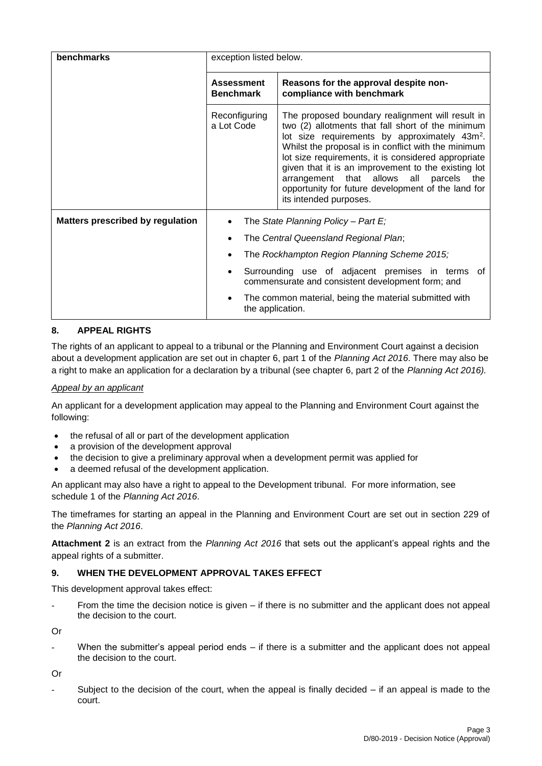| benchmarks                       | exception listed below.                                                                                     |                                                                                                                                                                                                                                                                                                                                                                                                                                                                    |  |
|----------------------------------|-------------------------------------------------------------------------------------------------------------|--------------------------------------------------------------------------------------------------------------------------------------------------------------------------------------------------------------------------------------------------------------------------------------------------------------------------------------------------------------------------------------------------------------------------------------------------------------------|--|
|                                  | <b>Assessment</b><br>Reasons for the approval despite non-<br>compliance with benchmark<br><b>Benchmark</b> |                                                                                                                                                                                                                                                                                                                                                                                                                                                                    |  |
|                                  | Reconfiguring<br>a Lot Code                                                                                 | The proposed boundary realignment will result in<br>two (2) allotments that fall short of the minimum<br>lot size requirements by approximately 43m <sup>2</sup> .<br>Whilst the proposal is in conflict with the minimum<br>lot size requirements, it is considered appropriate<br>given that it is an improvement to the existing lot<br>arrangement that allows all parcels the<br>opportunity for future development of the land for<br>its intended purposes. |  |
| Matters prescribed by regulation | The State Planning Policy - Part $E_i$                                                                      |                                                                                                                                                                                                                                                                                                                                                                                                                                                                    |  |
|                                  | The Central Queensland Regional Plan;                                                                       |                                                                                                                                                                                                                                                                                                                                                                                                                                                                    |  |
|                                  | The Rockhampton Region Planning Scheme 2015;<br>٠                                                           |                                                                                                                                                                                                                                                                                                                                                                                                                                                                    |  |
|                                  | Surrounding use of adjacent premises in terms of<br>٠<br>commensurate and consistent development form; and  |                                                                                                                                                                                                                                                                                                                                                                                                                                                                    |  |
|                                  | The common material, being the material submitted with<br>$\bullet$<br>the application.                     |                                                                                                                                                                                                                                                                                                                                                                                                                                                                    |  |

## **8. APPEAL RIGHTS**

The rights of an applicant to appeal to a tribunal or the Planning and Environment Court against a decision about a development application are set out in chapter 6, part 1 of the *Planning Act 2016*. There may also be a right to make an application for a declaration by a tribunal (see chapter 6, part 2 of the *Planning Act 2016).*

### *Appeal by an applicant*

An applicant for a development application may appeal to the Planning and Environment Court against the following:

- the refusal of all or part of the development application
- a provision of the development approval
- the decision to give a preliminary approval when a development permit was applied for
- a deemed refusal of the development application.

An applicant may also have a right to appeal to the Development tribunal. For more information, see schedule 1 of the *Planning Act 2016*.

The timeframes for starting an appeal in the Planning and Environment Court are set out in section 229 of the *Planning Act 2016*.

**Attachment 2** is an extract from the *Planning Act 2016* that sets out the applicant's appeal rights and the appeal rights of a submitter.

## **9. WHEN THE DEVELOPMENT APPROVAL TAKES EFFECT**

This development approval takes effect:

From the time the decision notice is given  $-$  if there is no submitter and the applicant does not appeal the decision to the court.

Or

When the submitter's appeal period ends  $-$  if there is a submitter and the applicant does not appeal the decision to the court.

Or

Subject to the decision of the court, when the appeal is finally decided  $-$  if an appeal is made to the court.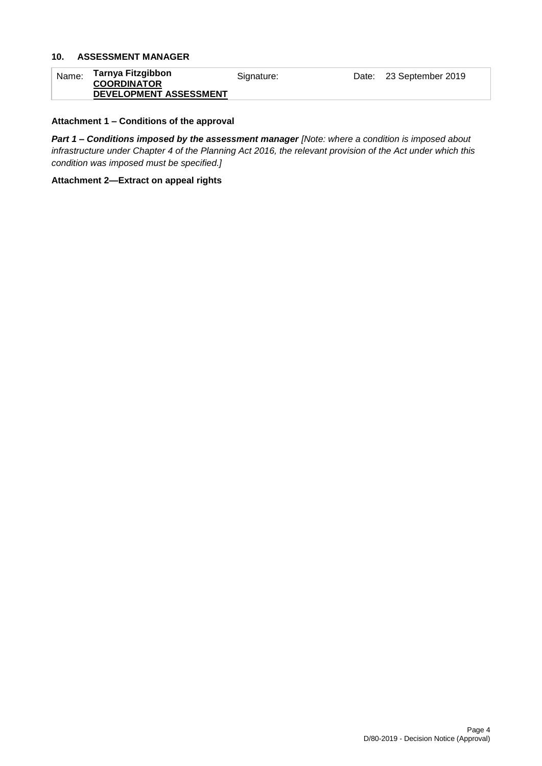## **10. ASSESSMENT MANAGER**

| Name: | Tarnya Fitzgibbon<br><b>COORDINATOR</b> | Signature: | Date: 23 September 2019 |
|-------|-----------------------------------------|------------|-------------------------|
|       | DEVELOPMENT ASSESSMENT                  |            |                         |

### **Attachment 1 – Conditions of the approval**

*Part 1* **–** *Conditions imposed by the assessment manager [Note: where a condition is imposed about infrastructure under Chapter 4 of the Planning Act 2016, the relevant provision of the Act under which this condition was imposed must be specified.]*

#### **Attachment 2—Extract on appeal rights**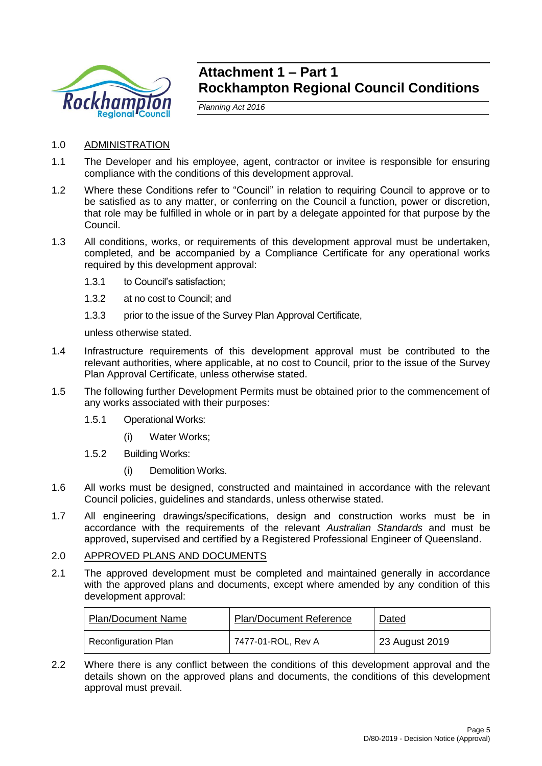

# **Attachment 1 – Part 1 Rockhampton Regional Council Conditions**

*Planning Act 2016*

- 1.0 ADMINISTRATION
- 1.1 The Developer and his employee, agent, contractor or invitee is responsible for ensuring compliance with the conditions of this development approval.
- 1.2 Where these Conditions refer to "Council" in relation to requiring Council to approve or to be satisfied as to any matter, or conferring on the Council a function, power or discretion, that role may be fulfilled in whole or in part by a delegate appointed for that purpose by the Council.
- 1.3 All conditions, works, or requirements of this development approval must be undertaken, completed, and be accompanied by a Compliance Certificate for any operational works required by this development approval:
	- 1.3.1 to Council's satisfaction;
	- 1.3.2 at no cost to Council; and
	- 1.3.3 prior to the issue of the Survey Plan Approval Certificate,

unless otherwise stated.

- 1.4 Infrastructure requirements of this development approval must be contributed to the relevant authorities, where applicable, at no cost to Council, prior to the issue of the Survey Plan Approval Certificate, unless otherwise stated.
- 1.5 The following further Development Permits must be obtained prior to the commencement of any works associated with their purposes:
	- 1.5.1 Operational Works:
		- (i) Water Works;
	- 1.5.2 Building Works:
		- (i) Demolition Works.
- 1.6 All works must be designed, constructed and maintained in accordance with the relevant Council policies, guidelines and standards, unless otherwise stated.
- 1.7 All engineering drawings/specifications, design and construction works must be in accordance with the requirements of the relevant *Australian Standards* and must be approved, supervised and certified by a Registered Professional Engineer of Queensland.

# 2.0 APPROVED PLANS AND DOCUMENTS

2.1 The approved development must be completed and maintained generally in accordance with the approved plans and documents, except where amended by any condition of this development approval:

| <b>Plan/Document Name</b>   | <b>Plan/Document Reference</b> | <b>Dated</b>   |
|-----------------------------|--------------------------------|----------------|
| <b>Reconfiguration Plan</b> | 7477-01-ROL, Rev A             | 23 August 2019 |

2.2 Where there is any conflict between the conditions of this development approval and the details shown on the approved plans and documents, the conditions of this development approval must prevail.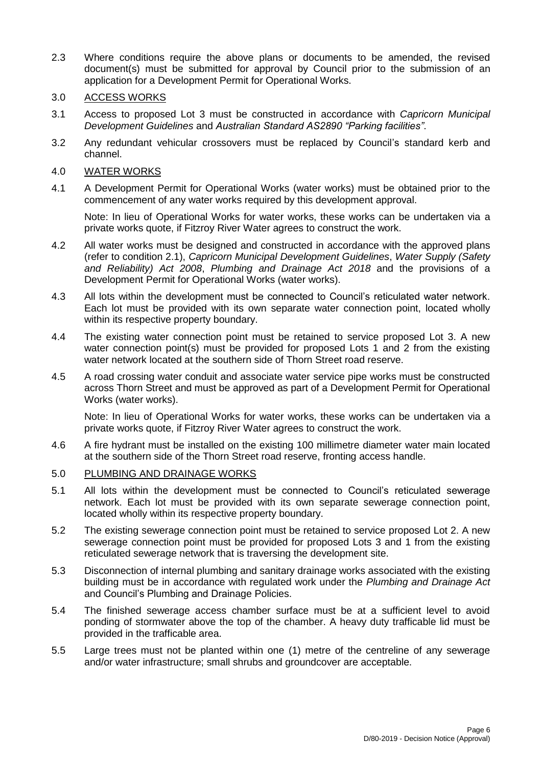- 2.3 Where conditions require the above plans or documents to be amended, the revised document(s) must be submitted for approval by Council prior to the submission of an application for a Development Permit for Operational Works.
- 3.0 ACCESS WORKS
- 3.1 Access to proposed Lot 3 must be constructed in accordance with *Capricorn Municipal Development Guidelines* and *Australian Standard AS2890 "Parking facilities"*.
- 3.2 Any redundant vehicular crossovers must be replaced by Council's standard kerb and channel.
- 4.0 WATER WORKS
- 4.1 A Development Permit for Operational Works (water works) must be obtained prior to the commencement of any water works required by this development approval.

Note: In lieu of Operational Works for water works, these works can be undertaken via a private works quote, if Fitzroy River Water agrees to construct the work.

- 4.2 All water works must be designed and constructed in accordance with the approved plans (refer to condition 2.1), *Capricorn Municipal Development Guidelines*, *Water Supply (Safety and Reliability) Act 2008*, *Plumbing and Drainage Act 2018* and the provisions of a Development Permit for Operational Works (water works).
- 4.3 All lots within the development must be connected to Council's reticulated water network. Each lot must be provided with its own separate water connection point, located wholly within its respective property boundary.
- 4.4 The existing water connection point must be retained to service proposed Lot 3. A new water connection point(s) must be provided for proposed Lots 1 and 2 from the existing water network located at the southern side of Thorn Street road reserve.
- 4.5 A road crossing water conduit and associate water service pipe works must be constructed across Thorn Street and must be approved as part of a Development Permit for Operational Works (water works).

Note: In lieu of Operational Works for water works, these works can be undertaken via a private works quote, if Fitzroy River Water agrees to construct the work.

4.6 A fire hydrant must be installed on the existing 100 millimetre diameter water main located at the southern side of the Thorn Street road reserve, fronting access handle.

### 5.0 PLUMBING AND DRAINAGE WORKS

- 5.1 All lots within the development must be connected to Council's reticulated sewerage network. Each lot must be provided with its own separate sewerage connection point, located wholly within its respective property boundary.
- 5.2 The existing sewerage connection point must be retained to service proposed Lot 2. A new sewerage connection point must be provided for proposed Lots 3 and 1 from the existing reticulated sewerage network that is traversing the development site.
- 5.3 Disconnection of internal plumbing and sanitary drainage works associated with the existing building must be in accordance with regulated work under the *Plumbing and Drainage Act*  and Council's Plumbing and Drainage Policies.
- 5.4 The finished sewerage access chamber surface must be at a sufficient level to avoid ponding of stormwater above the top of the chamber. A heavy duty trafficable lid must be provided in the trafficable area.
- 5.5 Large trees must not be planted within one (1) metre of the centreline of any sewerage and/or water infrastructure; small shrubs and groundcover are acceptable.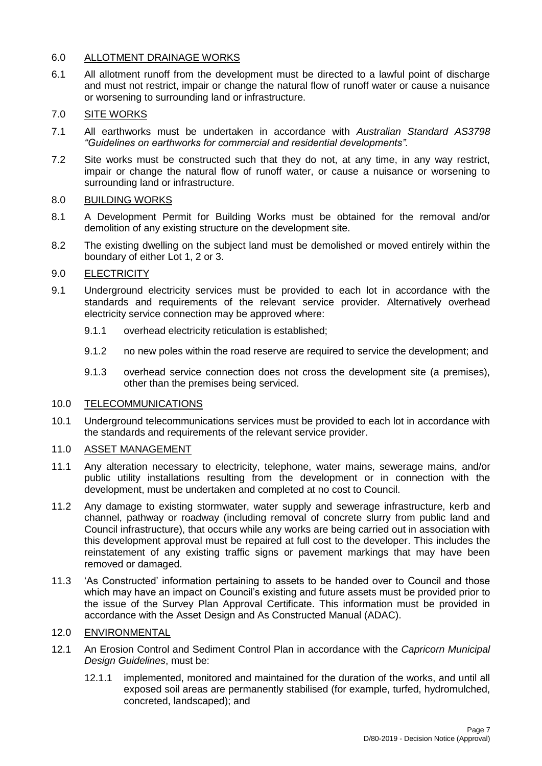# 6.0 ALLOTMENT DRAINAGE WORKS

6.1 All allotment runoff from the development must be directed to a lawful point of discharge and must not restrict, impair or change the natural flow of runoff water or cause a nuisance or worsening to surrounding land or infrastructure.

# 7.0 SITE WORKS

- 7.1 All earthworks must be undertaken in accordance with *Australian Standard AS3798 "Guidelines on earthworks for commercial and residential developments".*
- 7.2 Site works must be constructed such that they do not, at any time, in any way restrict, impair or change the natural flow of runoff water, or cause a nuisance or worsening to surrounding land or infrastructure.

# 8.0 BUILDING WORKS

- 8.1 A Development Permit for Building Works must be obtained for the removal and/or demolition of any existing structure on the development site.
- 8.2 The existing dwelling on the subject land must be demolished or moved entirely within the boundary of either Lot 1, 2 or 3.

# 9.0 ELECTRICITY

- 9.1 Underground electricity services must be provided to each lot in accordance with the standards and requirements of the relevant service provider. Alternatively overhead electricity service connection may be approved where:
	- 9.1.1 overhead electricity reticulation is established;
	- 9.1.2 no new poles within the road reserve are required to service the development; and
	- 9.1.3 overhead service connection does not cross the development site (a premises), other than the premises being serviced.

# 10.0 TELECOMMUNICATIONS

10.1 Underground telecommunications services must be provided to each lot in accordance with the standards and requirements of the relevant service provider.

# 11.0 ASSET MANAGEMENT

- 11.1 Any alteration necessary to electricity, telephone, water mains, sewerage mains, and/or public utility installations resulting from the development or in connection with the development, must be undertaken and completed at no cost to Council.
- 11.2 Any damage to existing stormwater, water supply and sewerage infrastructure, kerb and channel, pathway or roadway (including removal of concrete slurry from public land and Council infrastructure), that occurs while any works are being carried out in association with this development approval must be repaired at full cost to the developer. This includes the reinstatement of any existing traffic signs or pavement markings that may have been removed or damaged.
- 11.3 'As Constructed' information pertaining to assets to be handed over to Council and those which may have an impact on Council's existing and future assets must be provided prior to the issue of the Survey Plan Approval Certificate. This information must be provided in accordance with the Asset Design and As Constructed Manual (ADAC).

# 12.0 ENVIRONMENTAL

- 12.1 An Erosion Control and Sediment Control Plan in accordance with the *Capricorn Municipal Design Guidelines*, must be:
	- 12.1.1 implemented, monitored and maintained for the duration of the works, and until all exposed soil areas are permanently stabilised (for example, turfed, hydromulched, concreted, landscaped); and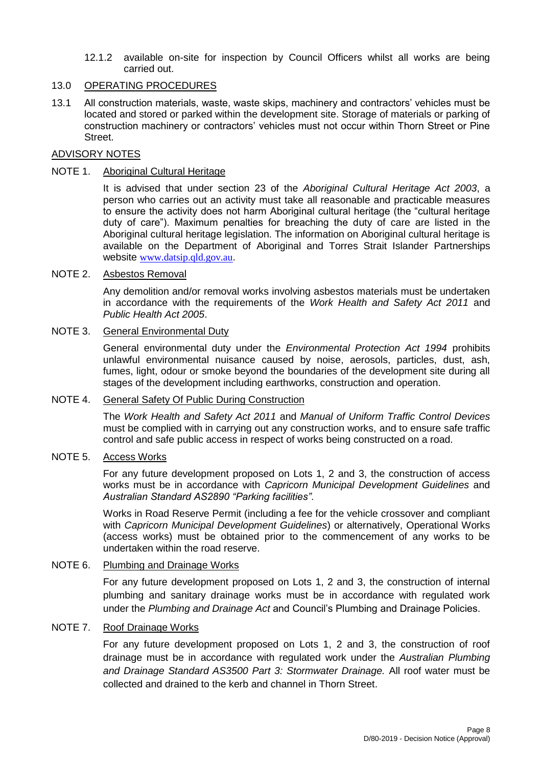12.1.2 available on-site for inspection by Council Officers whilst all works are being carried out.

## 13.0 OPERATING PROCEDURES

13.1 All construction materials, waste, waste skips, machinery and contractors' vehicles must be located and stored or parked within the development site. Storage of materials or parking of construction machinery or contractors' vehicles must not occur within Thorn Street or Pine Street.

# ADVISORY NOTES

## NOTE 1. Aboriginal Cultural Heritage

It is advised that under section 23 of the *Aboriginal Cultural Heritage Act 2003*, a person who carries out an activity must take all reasonable and practicable measures to ensure the activity does not harm Aboriginal cultural heritage (the "cultural heritage duty of care"). Maximum penalties for breaching the duty of care are listed in the Aboriginal cultural heritage legislation. The information on Aboriginal cultural heritage is available on the Department of Aboriginal and Torres Strait Islander Partnerships website [www.datsip.qld.gov.au](http://www.datsip.qld.gov.au/).

# NOTE 2. Asbestos Removal

Any demolition and/or removal works involving asbestos materials must be undertaken in accordance with the requirements of the *Work Health and Safety Act 2011* and *Public Health Act 2005*.

## NOTE 3. General Environmental Duty

General environmental duty under the *Environmental Protection Act 1994* prohibits unlawful environmental nuisance caused by noise, aerosols, particles, dust, ash, fumes, light, odour or smoke beyond the boundaries of the development site during all stages of the development including earthworks, construction and operation.

### NOTE 4. General Safety Of Public During Construction

The *Work Health and Safety Act 2011* and *Manual of Uniform Traffic Control Devices* must be complied with in carrying out any construction works, and to ensure safe traffic control and safe public access in respect of works being constructed on a road.

### NOTE 5. Access Works

For any future development proposed on Lots 1, 2 and 3, the construction of access works must be in accordance with *Capricorn Municipal Development Guidelines* and *Australian Standard AS2890 "Parking facilities"*.

Works in Road Reserve Permit (including a fee for the vehicle crossover and compliant with *Capricorn Municipal Development Guidelines*) or alternatively, Operational Works (access works) must be obtained prior to the commencement of any works to be undertaken within the road reserve.

### NOTE 6. Plumbing and Drainage Works

For any future development proposed on Lots 1, 2 and 3, the construction of internal plumbing and sanitary drainage works must be in accordance with regulated work under the *Plumbing and Drainage Act* and Council's Plumbing and Drainage Policies.

# NOTE 7. Roof Drainage Works

For any future development proposed on Lots 1, 2 and 3, the construction of roof drainage must be in accordance with regulated work under the *Australian Plumbing and Drainage Standard AS3500 Part 3: Stormwater Drainage.* All roof water must be collected and drained to the kerb and channel in Thorn Street.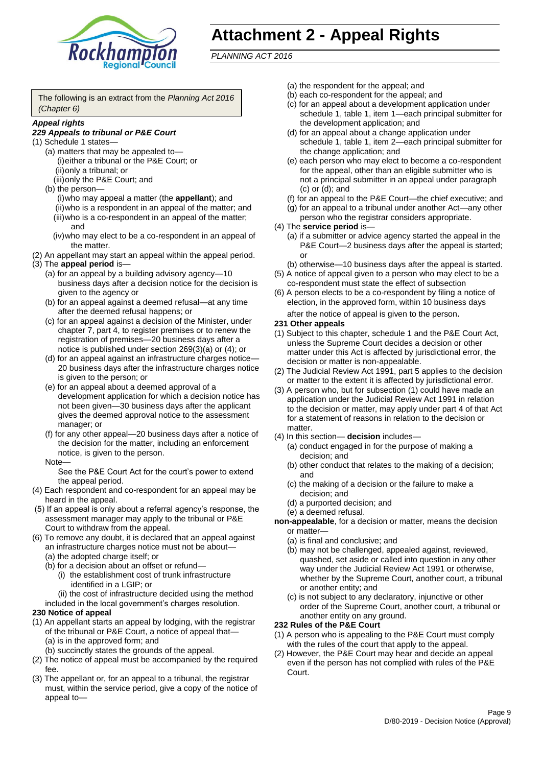

# **Attachment 2 - Appeal Rights**

*PLANNING ACT 2016*

The following is an extract from the *Planning Act 2016 (Chapter 6)*

#### *Appeal rights*

### *229 Appeals to tribunal or P&E Court*

- (1) Schedule 1 states—
	- (a) matters that may be appealed to— (i)either a tribunal or the P&E Court; or (ii)only a tribunal; or (iii)only the P&E Court; and
	- (b) the person—

(i)who may appeal a matter (the **appellant**); and (ii)who is a respondent in an appeal of the matter; and (iii)who is a co-respondent in an appeal of the matter; and

- (iv)who may elect to be a co-respondent in an appeal of the matter.
- (2) An appellant may start an appeal within the appeal period.
- (3) The **appeal period** is—
	- (a) for an appeal by a building advisory agency—10 business days after a decision notice for the decision is given to the agency or
	- (b) for an appeal against a deemed refusal—at any time after the deemed refusal happens; or
	- (c) for an appeal against a decision of the Minister, under chapter 7, part 4, to register premises or to renew the registration of premises—20 business days after a notice is published under section 269(3)(a) or (4); or
	- (d) for an appeal against an infrastructure charges notice— 20 business days after the infrastructure charges notice is given to the person; or
	- (e) for an appeal about a deemed approval of a development application for which a decision notice has not been given—30 business days after the applicant gives the deemed approval notice to the assessment manager; or
	- (f) for any other appeal—20 business days after a notice of the decision for the matter, including an enforcement notice, is given to the person.

#### Note—

See the P&E Court Act for the court's power to extend the appeal period.

- (4) Each respondent and co-respondent for an appeal may be heard in the appeal.
- (5) If an appeal is only about a referral agency's response, the assessment manager may apply to the tribunal or P&E Court to withdraw from the appeal.
- (6) To remove any doubt, it is declared that an appeal against an infrastructure charges notice must not be about—
	- (a) the adopted charge itself; or
	- (b) for a decision about an offset or refund—
		- (i) the establishment cost of trunk infrastructure identified in a LGIP; or
		- (ii) the cost of infrastructure decided using the method

included in the local government's charges resolution.

### **230 Notice of appeal**

- (1) An appellant starts an appeal by lodging, with the registrar of the tribunal or P&E Court, a notice of appeal that—
	- (a) is in the approved form; and
	- (b) succinctly states the grounds of the appeal.
- (2) The notice of appeal must be accompanied by the required fee.
- (3) The appellant or, for an appeal to a tribunal, the registrar must, within the service period, give a copy of the notice of appeal to—
- (a) the respondent for the appeal; and
- (b) each co-respondent for the appeal; and
- (c) for an appeal about a development application under schedule 1, table 1, item 1—each principal submitter for the development application; and
- (d) for an appeal about a change application under schedule 1, table 1, item 2—each principal submitter for the change application; and
- (e) each person who may elect to become a co-respondent for the appeal, other than an eligible submitter who is not a principal submitter in an appeal under paragraph (c) or (d); and
- (f) for an appeal to the P&E Court—the chief executive; and
- (g) for an appeal to a tribunal under another Act—any other person who the registrar considers appropriate.
- (4) The **service period** is—
	- (a) if a submitter or advice agency started the appeal in the P&E Court—2 business days after the appeal is started; or
	- (b) otherwise—10 business days after the appeal is started.
- (5) A notice of appeal given to a person who may elect to be a co-respondent must state the effect of subsection
- (6) A person elects to be a co-respondent by filing a notice of election, in the approved form, within 10 business days after the notice of appeal is given to the person*.*
- **231 Other appeals**
- (1) Subject to this chapter, schedule 1 and the P&E Court Act, unless the Supreme Court decides a decision or other matter under this Act is affected by jurisdictional error, the decision or matter is non-appealable.
- (2) The Judicial Review Act 1991, part 5 applies to the decision or matter to the extent it is affected by jurisdictional error.
- (3) A person who, but for subsection (1) could have made an application under the Judicial Review Act 1991 in relation to the decision or matter, may apply under part 4 of that Act for a statement of reasons in relation to the decision or matter.
- (4) In this section— **decision** includes—
	- (a) conduct engaged in for the purpose of making a decision; and
	- (b) other conduct that relates to the making of a decision; and
	- (c) the making of a decision or the failure to make a decision; and
	- (d) a purported decision; and
	- (e) a deemed refusal.

**non-appealable**, for a decision or matter, means the decision or matter—

- (a) is final and conclusive; and
- (b) may not be challenged, appealed against, reviewed, quashed, set aside or called into question in any other way under the Judicial Review Act 1991 or otherwise, whether by the Supreme Court, another court, a tribunal or another entity; and
- (c) is not subject to any declaratory, injunctive or other order of the Supreme Court, another court, a tribunal or another entity on any ground.

#### **232 Rules of the P&E Court**

- (1) A person who is appealing to the P&E Court must comply with the rules of the court that apply to the appeal.
- (2) However, the P&E Court may hear and decide an appeal even if the person has not complied with rules of the P&E Court.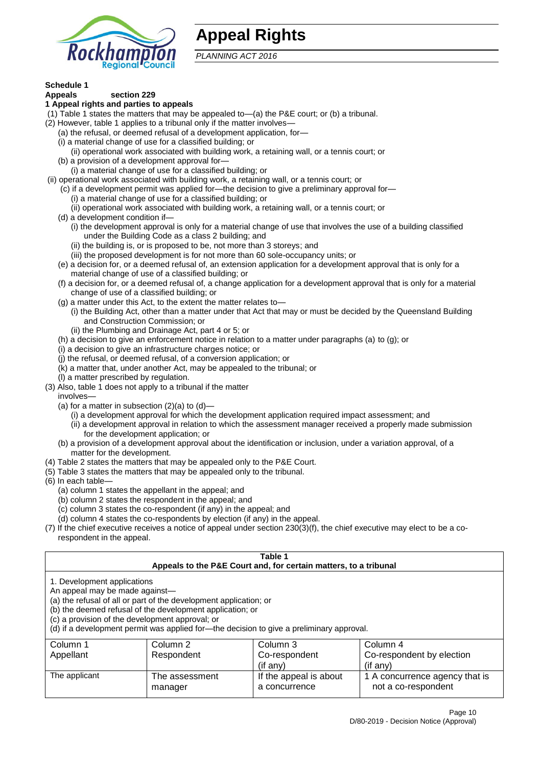

# **Appeal Rights**

*PLANNING ACT 2016*

# **Schedule 1**

#### **Appeals section 229 1 Appeal rights and parties to appeals**

- (1) Table 1 states the matters that may be appealed to—(a) the P&E court; or (b) a tribunal.
- (2) However, table 1 applies to a tribunal only if the matter involves—
	- (a) the refusal, or deemed refusal of a development application, for—
	- (i) a material change of use for a classified building; or
	- (ii) operational work associated with building work, a retaining wall, or a tennis court; or
	- (b) a provision of a development approval for—
	- (i) a material change of use for a classified building; or
- (ii) operational work associated with building work, a retaining wall, or a tennis court; or
	- (c) if a development permit was applied for—the decision to give a preliminary approval for— (i) a material change of use for a classified building; or
	- (ii) operational work associated with building work, a retaining wall, or a tennis court; or
	- (d) a development condition if—
		- (i) the development approval is only for a material change of use that involves the use of a building classified under the Building Code as a class 2 building; and
		- (ii) the building is, or is proposed to be, not more than 3 storeys; and
		- (iii) the proposed development is for not more than 60 sole-occupancy units; or
	- (e) a decision for, or a deemed refusal of, an extension application for a development approval that is only for a material change of use of a classified building; or
	- (f) a decision for, or a deemed refusal of, a change application for a development approval that is only for a material change of use of a classified building; or
	- (g) a matter under this Act, to the extent the matter relates to—
		- (i) the Building Act, other than a matter under that Act that may or must be decided by the Queensland Building and Construction Commission; or
		- (ii) the Plumbing and Drainage Act, part 4 or 5; or
	- (h) a decision to give an enforcement notice in relation to a matter under paragraphs (a) to (g); or
	- (i) a decision to give an infrastructure charges notice; or
	- (j) the refusal, or deemed refusal, of a conversion application; or
	- (k) a matter that, under another Act, may be appealed to the tribunal; or
	- (l) a matter prescribed by regulation.
- (3) Also, table 1 does not apply to a tribunal if the matter

involves—

- (a) for a matter in subsection  $(2)(a)$  to  $(d)$ 
	- (i) a development approval for which the development application required impact assessment; and
	- (ii) a development approval in relation to which the assessment manager received a properly made submission for the development application; or
- (b) a provision of a development approval about the identification or inclusion, under a variation approval, of a matter for the development.
- (4) Table 2 states the matters that may be appealed only to the P&E Court.
- (5) Table 3 states the matters that may be appealed only to the tribunal.
- (6) In each table—
	- (a) column 1 states the appellant in the appeal; and
	- (b) column 2 states the respondent in the appeal; and
	- (c) column 3 states the co-respondent (if any) in the appeal; and
	- (d) column 4 states the co-respondents by election (if any) in the appeal.
- (7) If the chief executive receives a notice of appeal under section 230(3)(f), the chief executive may elect to be a corespondent in the appeal.

| Table 1<br>Appeals to the P&E Court and, for certain matters, to a tribunal                                                                                                                                                                                                                                                                    |                |                        |                                |  |
|------------------------------------------------------------------------------------------------------------------------------------------------------------------------------------------------------------------------------------------------------------------------------------------------------------------------------------------------|----------------|------------------------|--------------------------------|--|
| 1. Development applications<br>An appeal may be made against-<br>(a) the refusal of all or part of the development application; or<br>(b) the deemed refusal of the development application; or<br>(c) a provision of the development approval; or<br>(d) if a development permit was applied for-the decision to give a preliminary approval. |                |                        |                                |  |
| Column 1                                                                                                                                                                                                                                                                                                                                       | Column 2       | Column 3               | Column 4                       |  |
| Appellant                                                                                                                                                                                                                                                                                                                                      | Respondent     | Co-respondent          | Co-respondent by election      |  |
|                                                                                                                                                                                                                                                                                                                                                |                | (if any)               | $($ if any $)$                 |  |
| The applicant                                                                                                                                                                                                                                                                                                                                  | The assessment | If the appeal is about | 1 A concurrence agency that is |  |
|                                                                                                                                                                                                                                                                                                                                                | manager        | a concurrence          | not a co-respondent            |  |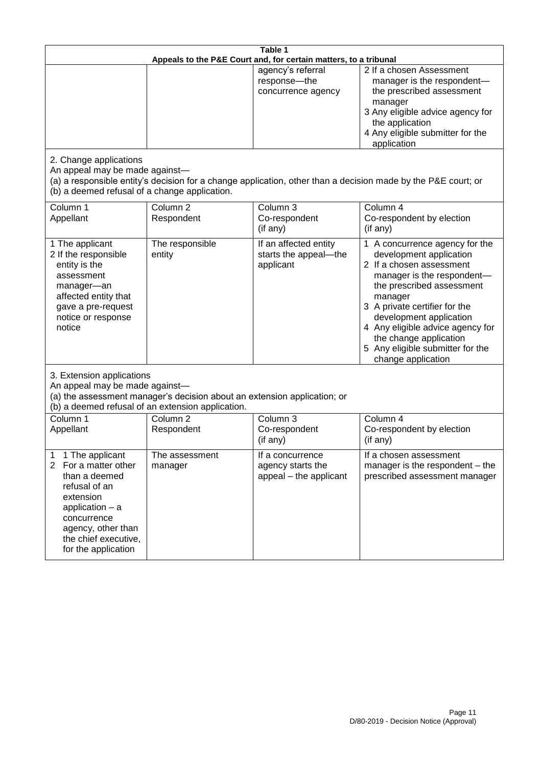| Table 1<br>Appeals to the P&E Court and, for certain matters, to a tribunal                                                                                                                                          |                                                                                                                               |                                                                 |                                                                                                                                                                                                                                                                                                                                                 |
|----------------------------------------------------------------------------------------------------------------------------------------------------------------------------------------------------------------------|-------------------------------------------------------------------------------------------------------------------------------|-----------------------------------------------------------------|-------------------------------------------------------------------------------------------------------------------------------------------------------------------------------------------------------------------------------------------------------------------------------------------------------------------------------------------------|
|                                                                                                                                                                                                                      |                                                                                                                               | agency's referral<br>response-the<br>concurrence agency         | 2 If a chosen Assessment<br>manager is the respondent-<br>the prescribed assessment<br>manager<br>3 Any eligible advice agency for<br>the application<br>4 Any eligible submitter for the<br>application                                                                                                                                        |
| 2. Change applications<br>An appeal may be made against-<br>(b) a deemed refusal of a change application.                                                                                                            |                                                                                                                               |                                                                 | (a) a responsible entity's decision for a change application, other than a decision made by the P&E court; or                                                                                                                                                                                                                                   |
| Column 1<br>Appellant                                                                                                                                                                                                | Column <sub>2</sub><br>Respondent                                                                                             | Column 3<br>Co-respondent<br>(if any)                           | Column 4<br>Co-respondent by election<br>(if any)                                                                                                                                                                                                                                                                                               |
| 1 The applicant<br>2 If the responsible<br>entity is the<br>assessment<br>manager-an<br>affected entity that<br>gave a pre-request<br>notice or response<br>notice                                                   | The responsible<br>entity                                                                                                     | If an affected entity<br>starts the appeal-the<br>applicant     | 1 A concurrence agency for the<br>development application<br>2 If a chosen assessment<br>manager is the respondent-<br>the prescribed assessment<br>manager<br>3 A private certifier for the<br>development application<br>4 Any eligible advice agency for<br>the change application<br>5 Any eligible submitter for the<br>change application |
| 3. Extension applications<br>An appeal may be made against-                                                                                                                                                          | (a) the assessment manager's decision about an extension application; or<br>(b) a deemed refusal of an extension application. |                                                                 |                                                                                                                                                                                                                                                                                                                                                 |
| Column 1<br>Appellant                                                                                                                                                                                                | Column <sub>2</sub><br>Respondent                                                                                             | Column 3<br>Co-respondent<br>(if any)                           | Column 4<br>Co-respondent by election<br>(if any)                                                                                                                                                                                                                                                                                               |
| 1 The applicant<br>1<br>$\overline{2}$<br>For a matter other<br>than a deemed<br>refusal of an<br>extension<br>application $-$ a<br>concurrence<br>agency, other than<br>the chief executive,<br>for the application | The assessment<br>manager                                                                                                     | If a concurrence<br>agency starts the<br>appeal - the applicant | If a chosen assessment<br>manager is the respondent – the<br>prescribed assessment manager                                                                                                                                                                                                                                                      |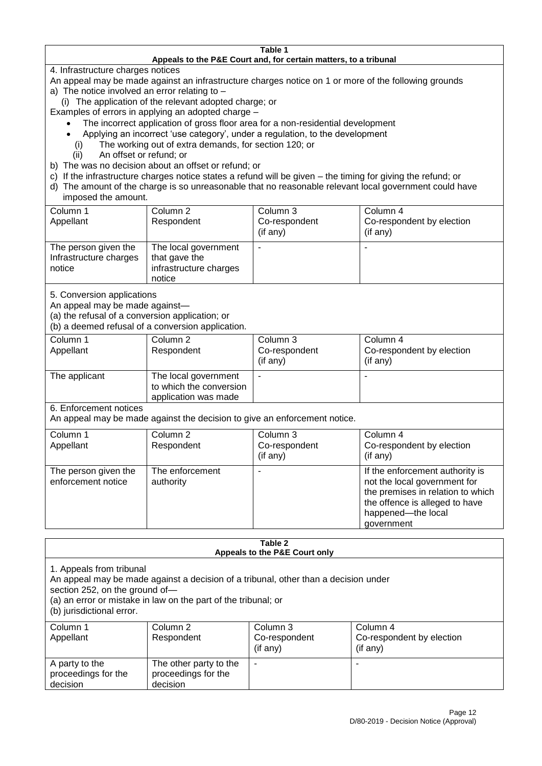#### **Table 1 Appeals to the P&E Court and, for certain matters, to a tribunal**

4. Infrastructure charges notices

- An appeal may be made against an infrastructure charges notice on 1 or more of the following grounds
- a) The notice involved an error relating to
	- (i) The application of the relevant adopted charge; or
- Examples of errors in applying an adopted charge
	- The incorrect application of gross floor area for a non-residential development
	- Applying an incorrect 'use category', under a regulation, to the development
	- (i) The working out of extra demands, for section 120; or
	- (ii) An offset or refund; or
- b) The was no decision about an offset or refund; or
- c) If the infrastructure charges notice states a refund will be given the timing for giving the refund; or
- d) The amount of the charge is so unreasonable that no reasonable relevant local government could have

# imposed the amount.

| Column 1<br>Appellant                                    | Column 2<br>Respondent                                                    | Column 3<br>Co-respondent<br>$($ if any $)$ | Column 4<br>Co-respondent by election<br>(if any) |
|----------------------------------------------------------|---------------------------------------------------------------------------|---------------------------------------------|---------------------------------------------------|
| The person given the<br>Infrastructure charges<br>notice | The local government<br>that gave the<br>infrastructure charges<br>notice | -                                           |                                                   |

5. Conversion applications

An appeal may be made against—

(a) the refusal of a conversion application; or

(b) a deemed refusal of a conversion application.

| Column 1      | Column 2                | Column 3       | Column 4                  |
|---------------|-------------------------|----------------|---------------------------|
| Appellant     | Respondent              | Co-respondent  | Co-respondent by election |
|               |                         | $($ if any $)$ | $($ if any $)$            |
| The applicant | The local government    |                |                           |
|               | to which the conversion |                |                           |
|               | application was made    |                |                           |

6. Enforcement notices

An appeal may be made against the decision to give an enforcement notice.

| Column 1                                   | Column 2                     | Column 3      | Column 4                                                                                                                                                                   |
|--------------------------------------------|------------------------------|---------------|----------------------------------------------------------------------------------------------------------------------------------------------------------------------------|
| Appellant                                  | Respondent                   | Co-respondent | Co-respondent by election                                                                                                                                                  |
|                                            |                              | (if any)      | (if any)                                                                                                                                                                   |
| The person given the<br>enforcement notice | The enforcement<br>authority |               | If the enforcement authority is<br>not the local government for<br>the premises in relation to which<br>the offence is alleged to have<br>happened-the local<br>government |
|                                            |                              |               |                                                                                                                                                                            |

#### **Table 2 Appeals to the P&E Court only**

1. Appeals from tribunal

An appeal may be made against a decision of a tribunal, other than a decision under

section 252, on the ground of—

(a) an error or mistake in law on the part of the tribunal; or

(b) jurisdictional error.

| Column 1<br>Appellant                             | Column 2<br>Respondent                                    | Column 3<br>Co-respondent<br>$($ if any $)$ | Column 4<br>Co-respondent by election<br>$($ if any $)$ |
|---------------------------------------------------|-----------------------------------------------------------|---------------------------------------------|---------------------------------------------------------|
| A party to the<br>proceedings for the<br>decision | The other party to the<br>proceedings for the<br>decision | ۰                                           |                                                         |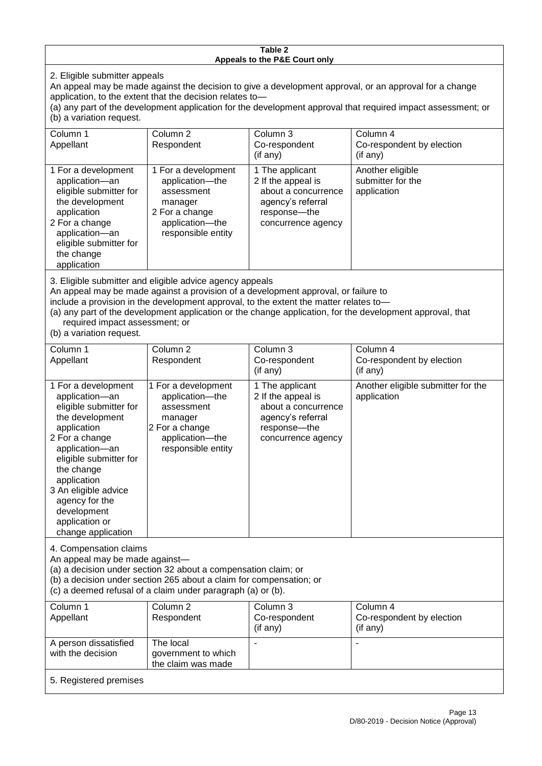#### **Table 2 Appeals to the P&E Court only**

2. Eligible submitter appeals

An appeal may be made against the decision to give a development approval, or an approval for a change application, to the extent that the decision relates to—

(a) any part of the development application for the development approval that required impact assessment; or (b) a variation request.

| Column 1                                                                                                                                                                                     | Column <sub>2</sub>                                                                                                        | Column 3                                                                                                                                                                    | Column 4                                                                                                  |
|----------------------------------------------------------------------------------------------------------------------------------------------------------------------------------------------|----------------------------------------------------------------------------------------------------------------------------|-----------------------------------------------------------------------------------------------------------------------------------------------------------------------------|-----------------------------------------------------------------------------------------------------------|
| Appellant                                                                                                                                                                                    | Respondent                                                                                                                 | Co-respondent                                                                                                                                                               | Co-respondent by election                                                                                 |
|                                                                                                                                                                                              |                                                                                                                            | (if any)                                                                                                                                                                    | (if any)                                                                                                  |
| 1 For a development<br>application-an<br>eligible submitter for<br>the development<br>application<br>2 For a change<br>application-an<br>eligible submitter for<br>the change<br>application | 1 For a development<br>application-the<br>assessment<br>manager<br>2 For a change<br>application-the<br>responsible entity | 1 The applicant<br>2 If the appeal is<br>about a concurrence<br>agency's referral<br>response—the<br>concurrence agency                                                     | Another eligible<br>submitter for the<br>application                                                      |
| required impact assessment; or<br>(b) a variation request.                                                                                                                                   | 3. Eligible submitter and eligible advice agency appeals                                                                   | An appeal may be made against a provision of a development approval, or failure to<br>include a provision in the development approval, to the extent the matter relates to- | (a) any part of the development application or the change application, for the development approval, that |
| Column 1                                                                                                                                                                                     | Column <sub>2</sub>                                                                                                        | Column 3                                                                                                                                                                    | Column 4                                                                                                  |
| Appellant                                                                                                                                                                                    | Respondent                                                                                                                 | Co-respondent                                                                                                                                                               | Co-respondent by election                                                                                 |
|                                                                                                                                                                                              |                                                                                                                            | (if any)                                                                                                                                                                    | (if any)                                                                                                  |
| 1 Fara douglanmant                                                                                                                                                                           | 1 Fara devalopment                                                                                                         | 1 The conligant                                                                                                                                                             | Anothor oligible qubmitter for the                                                                        |

| 1 For a development    | 1 For a development | 1 The applicant     | Another eligible submitter for the |
|------------------------|---------------------|---------------------|------------------------------------|
| application-an         | application-the     | 2 If the appeal is  | application                        |
| eligible submitter for | assessment          | about a concurrence |                                    |
| the development        | manager             | agency's referral   |                                    |
| application            | 2 For a change      | response---the      |                                    |
| 2 For a change         | application-the     | concurrence agency  |                                    |
| application-an         | responsible entity  |                     |                                    |
| eligible submitter for |                     |                     |                                    |
| the change             |                     |                     |                                    |
| application            |                     |                     |                                    |
| 3 An eligible advice   |                     |                     |                                    |
| agency for the         |                     |                     |                                    |
| development            |                     |                     |                                    |
| application or         |                     |                     |                                    |
| change application     |                     |                     |                                    |

4. Compensation claims

An appeal may be made against—

(a) a decision under section 32 about a compensation claim; or

(b) a decision under section 265 about a claim for compensation; or

(c) a deemed refusal of a claim under paragraph (a) or (b).

| Column 1               | Column 2            | Column 3      | Column 4                  |
|------------------------|---------------------|---------------|---------------------------|
| Appellant              | Respondent          | Co-respondent | Co-respondent by election |
|                        |                     | (if any)      | (if any)                  |
| A person dissatisfied  | The local           |               |                           |
| with the decision      | government to which |               |                           |
|                        | the claim was made  |               |                           |
| 5. Registered premises |                     |               |                           |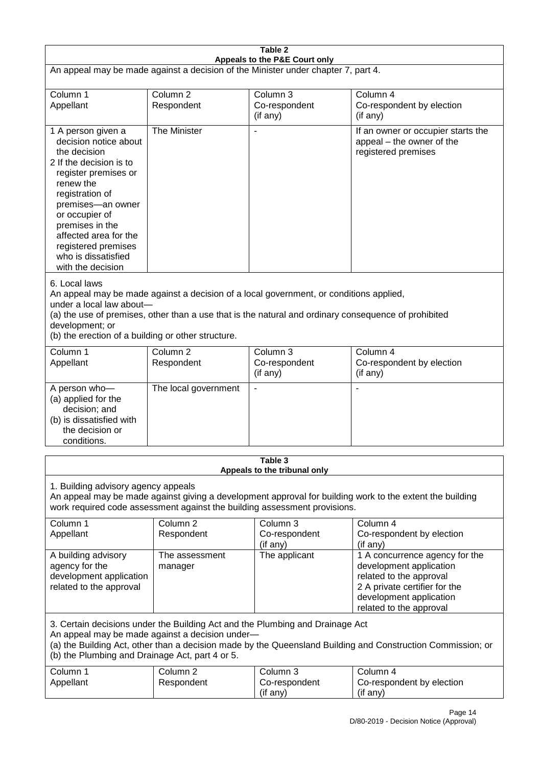| Table 2                                                                                                                                                                                                                                                                                                              |                                   |                                                                           |                                                                                                                                                                             |  |
|----------------------------------------------------------------------------------------------------------------------------------------------------------------------------------------------------------------------------------------------------------------------------------------------------------------------|-----------------------------------|---------------------------------------------------------------------------|-----------------------------------------------------------------------------------------------------------------------------------------------------------------------------|--|
| Appeals to the P&E Court only<br>An appeal may be made against a decision of the Minister under chapter 7, part 4.                                                                                                                                                                                                   |                                   |                                                                           |                                                                                                                                                                             |  |
| Column 1<br>Appellant                                                                                                                                                                                                                                                                                                | Column <sub>2</sub><br>Respondent | Column 3<br>Co-respondent<br>(if any)                                     | Column 4<br>Co-respondent by election<br>(if any)                                                                                                                           |  |
| 1 A person given a<br>decision notice about<br>the decision<br>2 If the decision is to<br>register premises or<br>renew the<br>registration of<br>premises-an owner<br>or occupier of<br>premises in the<br>affected area for the<br>registered premises<br>who is dissatisfied<br>with the decision                 | The Minister                      | $\blacksquare$                                                            | If an owner or occupier starts the<br>appeal - the owner of the<br>registered premises                                                                                      |  |
| 6. Local laws<br>An appeal may be made against a decision of a local government, or conditions applied,<br>under a local law about-<br>(a) the use of premises, other than a use that is the natural and ordinary consequence of prohibited<br>development; or<br>(b) the erection of a building or other structure. |                                   |                                                                           |                                                                                                                                                                             |  |
| Column 1<br>Appellant                                                                                                                                                                                                                                                                                                | Column <sub>2</sub><br>Respondent | Column <sub>3</sub><br>Co-respondent<br>(if any)                          | Column 4<br>Co-respondent by election<br>(if any)                                                                                                                           |  |
| A person who-<br>(a) applied for the<br>decision; and<br>(b) is dissatisfied with<br>the decision or<br>conditions.                                                                                                                                                                                                  | The local government              | $\overline{\phantom{a}}$                                                  |                                                                                                                                                                             |  |
|                                                                                                                                                                                                                                                                                                                      |                                   | Table 3<br>Appeals to the tribunal only                                   |                                                                                                                                                                             |  |
| 1. Building advisory agency appeals                                                                                                                                                                                                                                                                                  |                                   | work required code assessment against the building assessment provisions. | An appeal may be made against giving a development approval for building work to the extent the building                                                                    |  |
| Column 1<br>Appellant                                                                                                                                                                                                                                                                                                | Column <sub>2</sub><br>Respondent | Column 3<br>Co-respondent<br>(if any)                                     | Column 4<br>Co-respondent by election<br>(if any)                                                                                                                           |  |
| A building advisory<br>agency for the<br>development application<br>related to the approval                                                                                                                                                                                                                          | The assessment<br>manager         | The applicant                                                             | 1 A concurrence agency for the<br>development application<br>related to the approval<br>2 A private certifier for the<br>development application<br>related to the approval |  |
| 3. Certain decisions under the Building Act and the Plumbing and Drainage Act<br>An appeal may be made against a decision under-<br>(a) the Building Act, other than a decision made by the Queensland Building and Construction Commission; or<br>(b) the Plumbing and Drainage Act, part 4 or 5.                   |                                   |                                                                           |                                                                                                                                                                             |  |
| Column 1<br>Appellant                                                                                                                                                                                                                                                                                                | Column <sub>2</sub><br>Respondent | Column 3<br>Co-respondent<br>(if any)                                     | Column 4<br>Co-respondent by election<br>(if any)                                                                                                                           |  |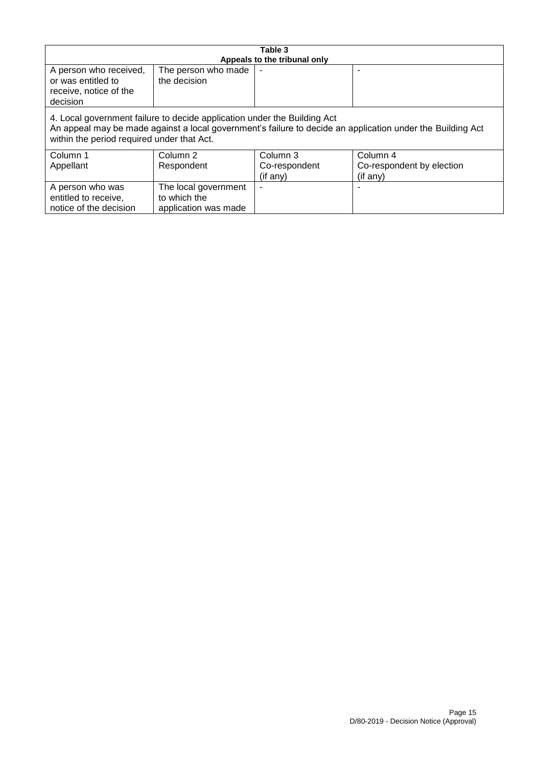| Table 3                                                                                                                                                                                                                              |                                                              |                                       |                                                   |
|--------------------------------------------------------------------------------------------------------------------------------------------------------------------------------------------------------------------------------------|--------------------------------------------------------------|---------------------------------------|---------------------------------------------------|
| A person who received,<br>or was entitled to<br>receive, notice of the<br>decision                                                                                                                                                   | The person who made<br>the decision                          | Appeals to the tribunal only          |                                                   |
| 4. Local government failure to decide application under the Building Act<br>An appeal may be made against a local government's failure to decide an application under the Building Act<br>within the period required under that Act. |                                                              |                                       |                                                   |
| Column 1<br>Appellant                                                                                                                                                                                                                | Column 2<br>Respondent                                       | Column 3<br>Co-respondent<br>(if any) | Column 4<br>Co-respondent by election<br>(if any) |
| A person who was<br>entitled to receive,<br>notice of the decision                                                                                                                                                                   | The local government<br>to which the<br>application was made |                                       |                                                   |